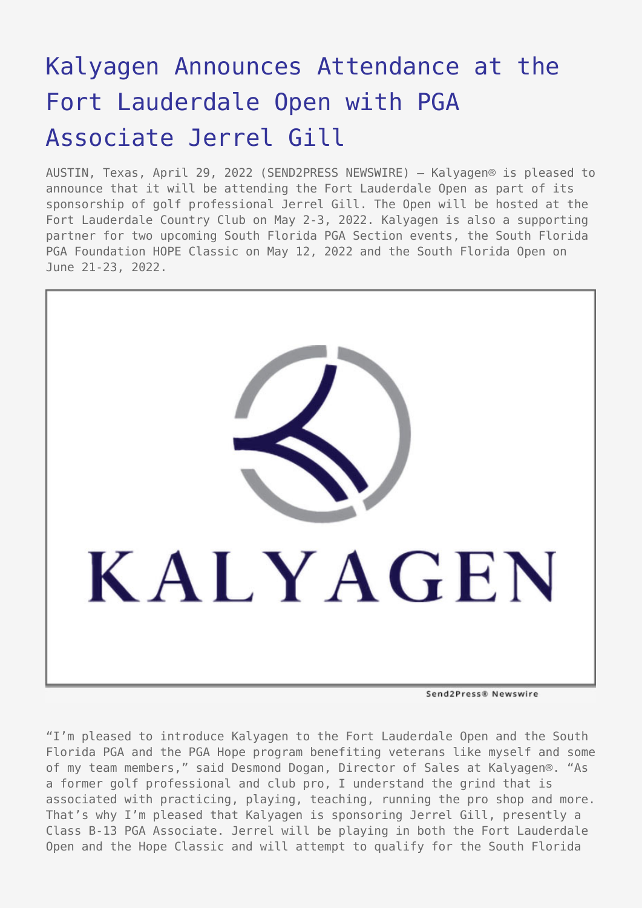# [Kalyagen Announces Attendance at the](https://www.send2press.com/wire/kalyagen-announces-attendance-at-the-fort-lauderdale-open-with-pga-associate-jerrel-gill/) [Fort Lauderdale Open with PGA](https://www.send2press.com/wire/kalyagen-announces-attendance-at-the-fort-lauderdale-open-with-pga-associate-jerrel-gill/) [Associate Jerrel Gill](https://www.send2press.com/wire/kalyagen-announces-attendance-at-the-fort-lauderdale-open-with-pga-associate-jerrel-gill/)

AUSTIN, Texas, April 29, 2022 (SEND2PRESS NEWSWIRE) — Kalyagen® is pleased to announce that it will be attending the Fort Lauderdale Open as part of its sponsorship of golf professional Jerrel Gill. The Open will be hosted at the Fort Lauderdale Country Club on May 2-3, 2022. Kalyagen is also a supporting partner for two upcoming South Florida PGA Section events, the South Florida PGA Foundation HOPE Classic on May 12, 2022 and the South Florida Open on June 21-23, 2022.



Send2Press® Newswire

"I'm pleased to introduce Kalyagen to the Fort Lauderdale Open and the South Florida PGA and the PGA Hope program benefiting veterans like myself and some of my team members," said Desmond Dogan, Director of Sales at Kalyagen®. "As a former golf professional and club pro, I understand the grind that is associated with practicing, playing, teaching, running the pro shop and more. That's why I'm pleased that Kalyagen is sponsoring Jerrel Gill, presently a Class B-13 PGA Associate. Jerrel will be playing in both the Fort Lauderdale Open and the Hope Classic and will attempt to qualify for the South Florida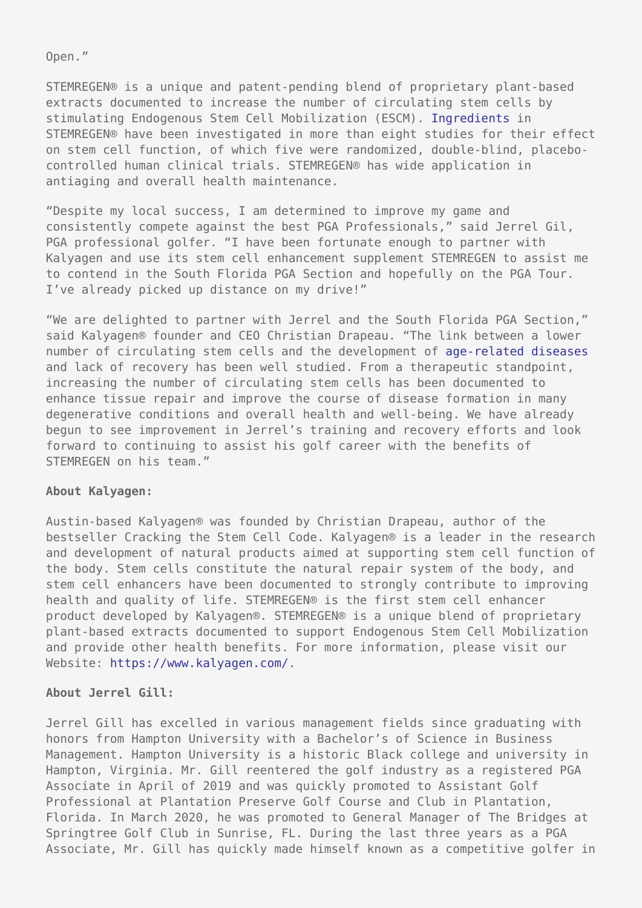Open."

STEMREGEN® is a unique and patent-pending blend of proprietary plant-based extracts documented to increase the number of circulating stem cells by stimulating Endogenous Stem Cell Mobilization (ESCM). [Ingredients](https://www.kalyagen.com/ingredients/) in STEMREGEN® have been investigated in more than eight studies for their effect on stem cell function, of which five were randomized, double-blind, placebocontrolled human clinical trials. STEMREGEN® has wide application in antiaging and overall health maintenance.

"Despite my local success, I am determined to improve my game and consistently compete against the best PGA Professionals," said Jerrel Gil, PGA professional golfer. "I have been fortunate enough to partner with Kalyagen and use its stem cell enhancement supplement STEMREGEN to assist me to contend in the South Florida PGA Section and hopefully on the PGA Tour. I've already picked up distance on my drive!"

"We are delighted to partner with Jerrel and the South Florida PGA Section," said Kalyagen® founder and CEO Christian Drapeau. "The link between a lower number of circulating stem cells and the development of [age-related diseases](https://www.kalyagen.com/cardiovascular-system/) and lack of recovery has been well studied. From a therapeutic standpoint, increasing the number of circulating stem cells has been documented to enhance tissue repair and improve the course of disease formation in many degenerative conditions and overall health and well-being. We have already begun to see improvement in Jerrel's training and recovery efforts and look forward to continuing to assist his golf career with the benefits of STEMREGEN on his team."

# **About Kalyagen:**

Austin-based Kalyagen® was founded by Christian Drapeau, author of the bestseller Cracking the Stem Cell Code. Kalyagen® is a leader in the research and development of natural products aimed at supporting stem cell function of the body. Stem cells constitute the natural repair system of the body, and stem cell enhancers have been documented to strongly contribute to improving health and quality of life. STEMREGEN® is the first stem cell enhancer product developed by Kalyagen®. STEMREGEN® is a unique blend of proprietary plant-based extracts documented to support Endogenous Stem Cell Mobilization and provide other health benefits. For more information, please visit our Website: [https://www.kalyagen.com/.](https://www.kalyagen.com/)

# **About Jerrel Gill:**

Jerrel Gill has excelled in various management fields since graduating with honors from Hampton University with a Bachelor's of Science in Business Management. Hampton University is a historic Black college and university in Hampton, Virginia. Mr. Gill reentered the golf industry as a registered PGA Associate in April of 2019 and was quickly promoted to Assistant Golf Professional at Plantation Preserve Golf Course and Club in Plantation, Florida. In March 2020, he was promoted to General Manager of The Bridges at Springtree Golf Club in Sunrise, FL. During the last three years as a PGA Associate, Mr. Gill has quickly made himself known as a competitive golfer in